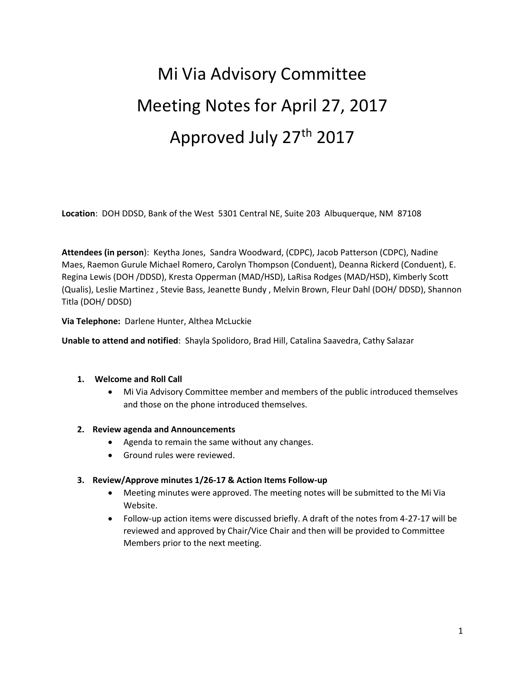# Mi Via Advisory Committee Meeting Notes for April 27, 2017 Approved July 27th 2017

**Location**: DOH DDSD, Bank of the West 5301 Central NE, Suite 203 Albuquerque, NM 87108

**Attendees (in person**): Keytha Jones, Sandra Woodward, (CDPC), Jacob Patterson (CDPC), Nadine Maes, Raemon Gurule Michael Romero, Carolyn Thompson (Conduent), Deanna Rickerd (Conduent), E. Regina Lewis (DOH /DDSD), Kresta Opperman (MAD/HSD), LaRisa Rodges (MAD/HSD), Kimberly Scott (Qualis), Leslie Martinez , Stevie Bass, Jeanette Bundy , Melvin Brown, Fleur Dahl (DOH/ DDSD), Shannon Titla (DOH/ DDSD)

**Via Telephone:** Darlene Hunter, Althea McLuckie

**Unable to attend and notified**: Shayla Spolidoro, Brad Hill, Catalina Saavedra, Cathy Salazar

#### **1. Welcome and Roll Call**

• Mi Via Advisory Committee member and members of the public introduced themselves and those on the phone introduced themselves.

#### **2. Review agenda and Announcements**

- Agenda to remain the same without any changes.
- Ground rules were reviewed.

#### **3. Review/Approve minutes 1/26-17 & Action Items Follow-up**

- Meeting minutes were approved. The meeting notes will be submitted to the Mi Via Website.
- Follow-up action items were discussed briefly. A draft of the notes from 4-27-17 will be reviewed and approved by Chair/Vice Chair and then will be provided to Committee Members prior to the next meeting.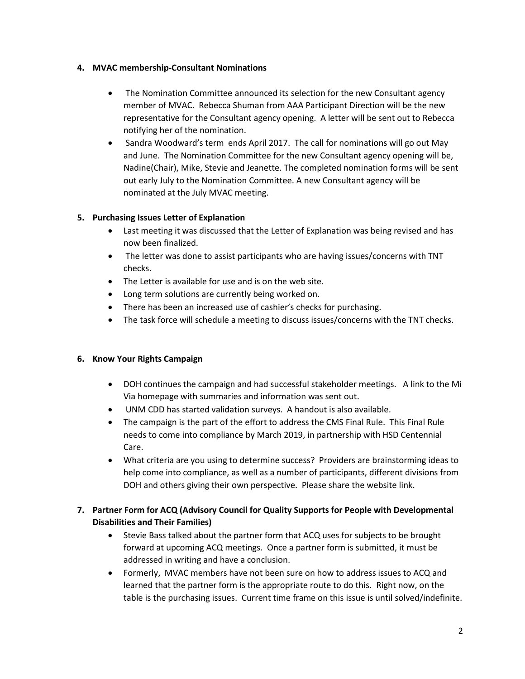#### **4. MVAC membership-Consultant Nominations**

- The Nomination Committee announced its selection for the new Consultant agency member of MVAC. Rebecca Shuman from AAA Participant Direction will be the new representative for the Consultant agency opening. A letter will be sent out to Rebecca notifying her of the nomination.
- Sandra Woodward's term ends April 2017. The call for nominations will go out May and June. The Nomination Committee for the new Consultant agency opening will be, Nadine(Chair), Mike, Stevie and Jeanette. The completed nomination forms will be sent out early July to the Nomination Committee. A new Consultant agency will be nominated at the July MVAC meeting.

# **5. Purchasing Issues Letter of Explanation**

- Last meeting it was discussed that the Letter of Explanation was being revised and has now been finalized.
- The letter was done to assist participants who are having issues/concerns with TNT checks.
- The Letter is available for use and is on the web site.
- Long term solutions are currently being worked on.
- There has been an increased use of cashier's checks for purchasing.
- The task force will schedule a meeting to discuss issues/concerns with the TNT checks.

## **6. Know Your Rights Campaign**

- DOH continues the campaign and had successful stakeholder meetings. A link to the Mi Via homepage with summaries and information was sent out.
- UNM CDD has started validation surveys. A handout is also available.
- The campaign is the part of the effort to address the CMS Final Rule. This Final Rule needs to come into compliance by March 2019, in partnership with HSD Centennial Care.
- What criteria are you using to determine success? Providers are brainstorming ideas to help come into compliance, as well as a number of participants, different divisions from DOH and others giving their own perspective. Please share the website link.

# **7. Partner Form for ACQ (Advisory Council for Quality Supports for People with Developmental Disabilities and Their Families)**

- Stevie Bass talked about the partner form that ACQ uses for subjects to be brought forward at upcoming ACQ meetings. Once a partner form is submitted, it must be addressed in writing and have a conclusion.
- Formerly, MVAC members have not been sure on how to address issues to ACQ and learned that the partner form is the appropriate route to do this. Right now, on the table is the purchasing issues. Current time frame on this issue is until solved/indefinite.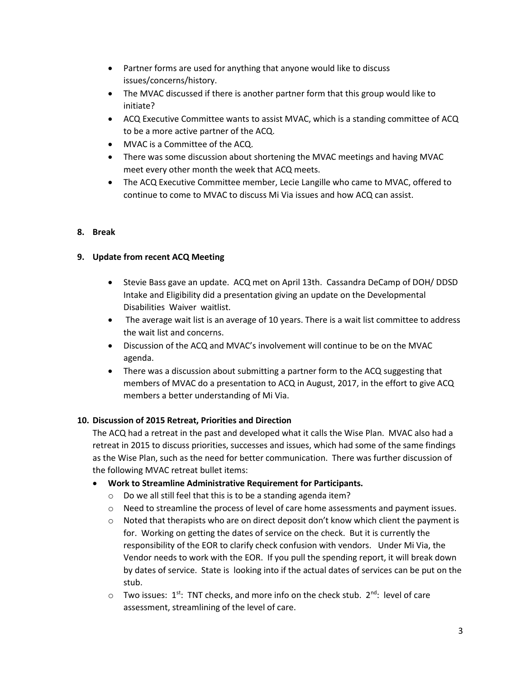- Partner forms are used for anything that anyone would like to discuss issues/concerns/history.
- The MVAC discussed if there is another partner form that this group would like to initiate?
- ACQ Executive Committee wants to assist MVAC, which is a standing committee of ACQ to be a more active partner of the ACQ.
- MVAC is a Committee of the ACQ.
- There was some discussion about shortening the MVAC meetings and having MVAC meet every other month the week that ACQ meets.
- The ACQ Executive Committee member, Lecie Langille who came to MVAC, offered to continue to come to MVAC to discuss Mi Via issues and how ACQ can assist.

# **8. Break**

# **9. Update from recent ACQ Meeting**

- Stevie Bass gave an update. ACQ met on April 13th. Cassandra DeCamp of DOH/ DDSD Intake and Eligibility did a presentation giving an update on the Developmental Disabilities Waiver waitlist.
- The average wait list is an average of 10 years. There is a wait list committee to address the wait list and concerns.
- Discussion of the ACQ and MVAC's involvement will continue to be on the MVAC agenda.
- There was a discussion about submitting a partner form to the ACQ suggesting that members of MVAC do a presentation to ACQ in August, 2017, in the effort to give ACQ members a better understanding of Mi Via.

## **10. Discussion of 2015 Retreat, Priorities and Direction**

The ACQ had a retreat in the past and developed what it calls the Wise Plan. MVAC also had a retreat in 2015 to discuss priorities, successes and issues, which had some of the same findings as the Wise Plan, such as the need for better communication. There was further discussion of the following MVAC retreat bullet items:

## • **Work to Streamline Administrative Requirement for Participants.**

- o Do we all still feel that this is to be a standing agenda item?
- $\circ$  Need to streamline the process of level of care home assessments and payment issues.
- $\circ$  Noted that therapists who are on direct deposit don't know which client the payment is for. Working on getting the dates of service on the check. But it is currently the responsibility of the EOR to clarify check confusion with vendors. Under Mi Via, the Vendor needs to work with the EOR. If you pull the spending report, it will break down by dates of service. State is looking into if the actual dates of services can be put on the stub.
- $\circ$  Two issues: 1<sup>st</sup>: TNT checks, and more info on the check stub. 2<sup>nd</sup>: level of care assessment, streamlining of the level of care.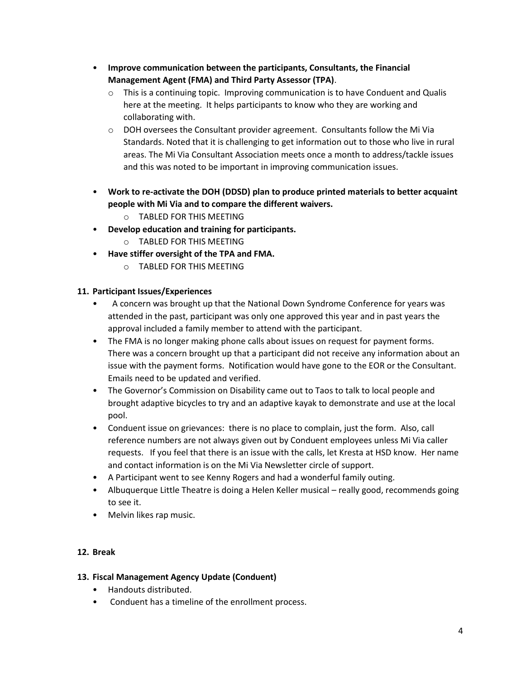- **Improve communication between the participants, Consultants, the Financial Management Agent (FMA) and Third Party Assessor (TPA)**.
	- $\circ$  This is a continuing topic. Improving communication is to have Conduent and Qualis here at the meeting. It helps participants to know who they are working and collaborating with.
	- $\circ$  DOH oversees the Consultant provider agreement. Consultants follow the Mi Via Standards. Noted that it is challenging to get information out to those who live in rural areas. The Mi Via Consultant Association meets once a month to address/tackle issues and this was noted to be important in improving communication issues.
- **Work to re-activate the DOH (DDSD) plan to produce printed materials to better acquaint people with Mi Via and to compare the different waivers.** 
	- o TABLED FOR THIS MEETING
- **Develop education and training for participants.**
	- o TABLED FOR THIS MEETING
- **Have stiffer oversight of the TPA and FMA.**
	- o TABLED FOR THIS MEETING

#### **11. Participant Issues/Experiences**

- A concern was brought up that the National Down Syndrome Conference for years was attended in the past, participant was only one approved this year and in past years the approval included a family member to attend with the participant.
- The FMA is no longer making phone calls about issues on request for payment forms. There was a concern brought up that a participant did not receive any information about an issue with the payment forms. Notification would have gone to the EOR or the Consultant. Emails need to be updated and verified.
- The Governor's Commission on Disability came out to Taos to talk to local people and brought adaptive bicycles to try and an adaptive kayak to demonstrate and use at the local pool.
- Conduent issue on grievances: there is no place to complain, just the form. Also, call reference numbers are not always given out by Conduent employees unless Mi Via caller requests. If you feel that there is an issue with the calls, let Kresta at HSD know. Her name and contact information is on the Mi Via Newsletter circle of support.
- A Participant went to see Kenny Rogers and had a wonderful family outing.
- Albuquerque Little Theatre is doing a Helen Keller musical really good, recommends going to see it.
- Melvin likes rap music.

## **12. Break**

## **13. Fiscal Management Agency Update (Conduent)**

- Handouts distributed.
- Conduent has a timeline of the enrollment process.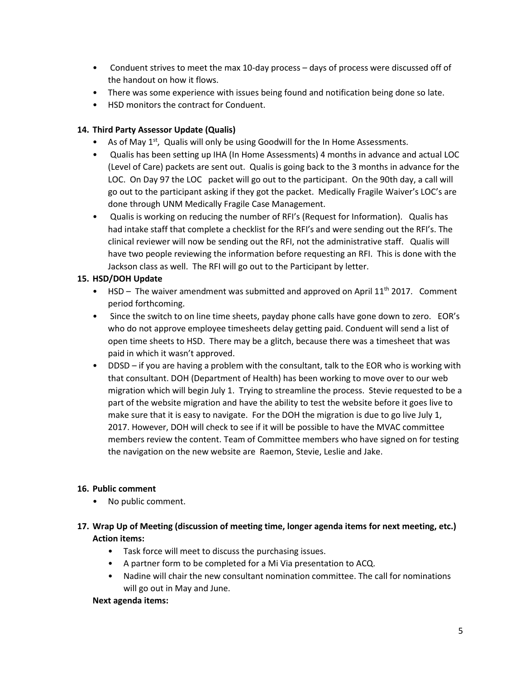- Conduent strives to meet the max 10-day process days of process were discussed off of the handout on how it flows.
- There was some experience with issues being found and notification being done so late.
- HSD monitors the contract for Conduent.

## **14. Third Party Assessor Update (Qualis)**

- As of May  $1<sup>st</sup>$ , Qualis will only be using Goodwill for the In Home Assessments.
- Qualis has been setting up IHA (In Home Assessments) 4 months in advance and actual LOC (Level of Care) packets are sent out. Qualis is going back to the 3 months in advance for the LOC. On Day 97 the LOC packet will go out to the participant. On the 90th day, a call will go out to the participant asking if they got the packet. Medically Fragile Waiver's LOC's are done through UNM Medically Fragile Case Management.
- Qualis is working on reducing the number of RFI's (Request for Information). Qualis has had intake staff that complete a checklist for the RFI's and were sending out the RFI's. The clinical reviewer will now be sending out the RFI, not the administrative staff. Qualis will have two people reviewing the information before requesting an RFI. This is done with the Jackson class as well. The RFI will go out to the Participant by letter.

## **15. HSD/DOH Update**

- HSD The waiver amendment was submitted and approved on April  $11<sup>th</sup>$  2017. Comment period forthcoming.
- Since the switch to on line time sheets, payday phone calls have gone down to zero. EOR's who do not approve employee timesheets delay getting paid. Conduent will send a list of open time sheets to HSD. There may be a glitch, because there was a timesheet that was paid in which it wasn't approved.
- DDSD if you are having a problem with the consultant, talk to the EOR who is working with that consultant. DOH (Department of Health) has been working to move over to our web migration which will begin July 1. Trying to streamline the process. Stevie requested to be a part of the website migration and have the ability to test the website before it goes live to make sure that it is easy to navigate. For the DOH the migration is due to go live July 1, 2017. However, DOH will check to see if it will be possible to have the MVAC committee members review the content. Team of Committee members who have signed on for testing the navigation on the new website are Raemon, Stevie, Leslie and Jake.

## **16. Public comment**

- No public comment.
- **17. Wrap Up of Meeting (discussion of meeting time, longer agenda items for next meeting, etc.) Action items:**
	- Task force will meet to discuss the purchasing issues.
	- A partner form to be completed for a Mi Via presentation to ACQ.
	- Nadine will chair the new consultant nomination committee. The call for nominations will go out in May and June.

## **Next agenda items:**